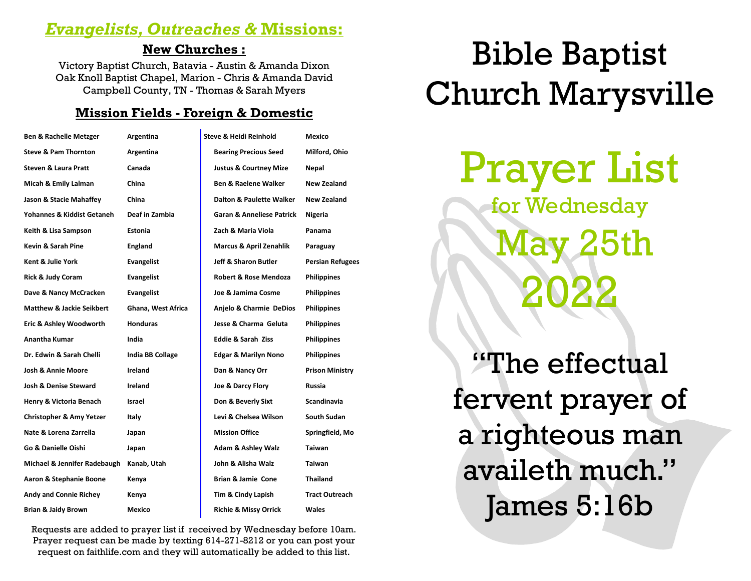# *Evangelists, Outreaches &* **Missions:**

# **New Churches :**

Victory Baptist Church, Batavia - Austin & Amanda Dixon Oak Knoll Baptist Chapel, Marion - Chris & Amanda David Campbell County, TN - Thomas & Sarah Myers

# **Mission Fields - Foreign & Domestic**

| <b>Ben &amp; Rachelle Metzger</b>    | Argentina               | <b>Steve &amp; Heidi Reinhold</b>    | Mexico                  |
|--------------------------------------|-------------------------|--------------------------------------|-------------------------|
| <b>Steve &amp; Pam Thornton</b>      | Argentina               | <b>Bearing Precious Seed</b>         | Milford, Ohio           |
| <b>Steven &amp; Laura Pratt</b>      | Canada                  | <b>Justus &amp; Courtney Mize</b>    | Nepal                   |
| Micah & Emily Lalman                 | China                   | <b>Ben &amp; Raelene Walker</b>      | <b>New Zealand</b>      |
| Jason & Stacie Mahaffey              | China                   | Dalton & Paulette Walker             | New Zealand             |
| Yohannes & Kiddist Getaneh           | Deaf in Zambia          | <b>Garan &amp; Anneliese Patrick</b> | Nigeria                 |
| Keith & Lisa Sampson                 | <b>Estonia</b>          | Zach & Maria Viola                   | Panama                  |
| <b>Kevin &amp; Sarah Pine</b>        | England                 | <b>Marcus &amp; April Zenahlik</b>   | Paraguay                |
| Kent & Julie York                    | Evangelist              | <b>Jeff &amp; Sharon Butler</b>      | <b>Persian Refugees</b> |
| <b>Rick &amp; Judy Coram</b>         | Evangelist              | <b>Robert &amp; Rose Mendoza</b>     | <b>Philippines</b>      |
| Dave & Nancy McCracken               | Evangelist              | Joe & Jamima Cosme                   | <b>Philippines</b>      |
| <b>Matthew &amp; Jackie Seikbert</b> | Ghana, West Africa      | Anjelo & Charmie DeDios              | <b>Philippines</b>      |
| Eric & Ashley Woodworth              | <b>Honduras</b>         | Jesse & Charma Geluta                | <b>Philippines</b>      |
| <b>Anantha Kumar</b>                 | India                   | <b>Eddie &amp; Sarah Ziss</b>        | <b>Philippines</b>      |
| Dr. Edwin & Sarah Chelli             | <b>India BB Collage</b> | <b>Edgar &amp; Marilyn Nono</b>      | <b>Philippines</b>      |
| Josh & Annie Moore                   | Ireland                 | Dan & Nancy Orr                      | <b>Prison Ministry</b>  |
| Josh & Denise Steward                | Ireland                 | Joe & Darcy Flory                    | Russia                  |
| Henry & Victoria Benach              | Israel                  | Don & Beverly Sixt                   | <b>Scandinavia</b>      |
| <b>Christopher &amp; Amy Yetzer</b>  | Italy                   | Levi & Chelsea Wilson                | <b>South Sudan</b>      |
| Nate & Lorena Zarrella               | Japan                   | <b>Mission Office</b>                | Springfield, Mo         |
| Go & Danielle Oishi                  | Japan                   | <b>Adam &amp; Ashley Walz</b>        | <b>Taiwan</b>           |
| Michael & Jennifer Radebaugh         | Kanab, Utah             | John & Alisha Walz                   | <b>Taiwan</b>           |
| Aaron & Stephanie Boone              | Kenya                   | <b>Brian &amp; Jamie Cone</b>        | Thailand                |
| Andy and Connie Richey               | Kenya                   | Tim & Cindy Lapish                   | <b>Tract Outreach</b>   |
| <b>Brian &amp; Jaidy Brown</b>       | Mexico                  | <b>Richie &amp; Missy Orrick</b>     | <b>Wales</b>            |

Requests are added to prayer list if received by Wednesday before 10am. Prayer request can be made by texting 614-271-8212 or you can post your request on faithlife.com and they will automatically be added to this list.

# Bible Baptist Church Marysville

Prayer List

for Wednesday 25th 2022

"The effectual fervent prayer of a righteous man availeth much." James 5:16b